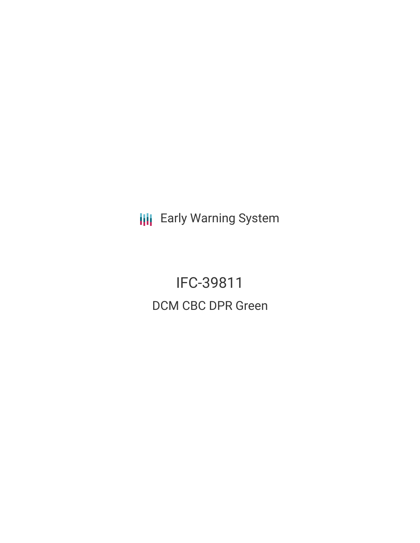**III** Early Warning System

IFC-39811 DCM CBC DPR Green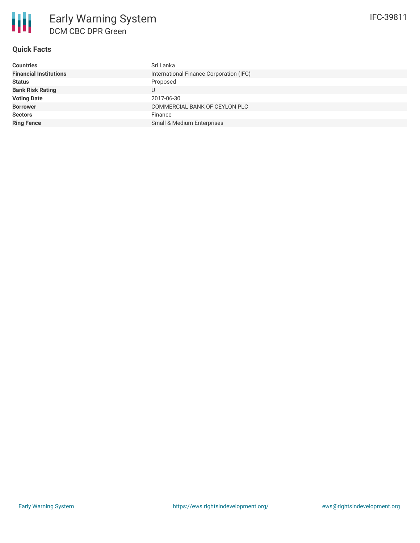

## **Quick Facts**

| <b>Countries</b>              | Sri Lanka                               |
|-------------------------------|-----------------------------------------|
| <b>Financial Institutions</b> | International Finance Corporation (IFC) |
| <b>Status</b>                 | Proposed                                |
| <b>Bank Risk Rating</b>       |                                         |
| <b>Voting Date</b>            | 2017-06-30                              |
| <b>Borrower</b>               | COMMERCIAL BANK OF CEYLON PLC           |
| <b>Sectors</b>                | Finance                                 |
| <b>Ring Fence</b>             | Small & Medium Enterprises              |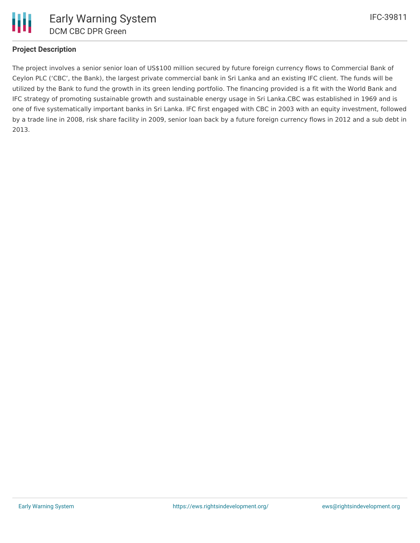

#### **Project Description**

The project involves a senior senior loan of US\$100 million secured by future foreign currency flows to Commercial Bank of Ceylon PLC ('CBC', the Bank), the largest private commercial bank in Sri Lanka and an existing IFC client. The funds will be utilized by the Bank to fund the growth in its green lending portfolio. The financing provided is a fit with the World Bank and IFC strategy of promoting sustainable growth and sustainable energy usage in Sri Lanka.CBC was established in 1969 and is one of five systematically important banks in Sri Lanka. IFC first engaged with CBC in 2003 with an equity investment, followed by a trade line in 2008, risk share facility in 2009, senior loan back by a future foreign currency flows in 2012 and a sub debt in 2013.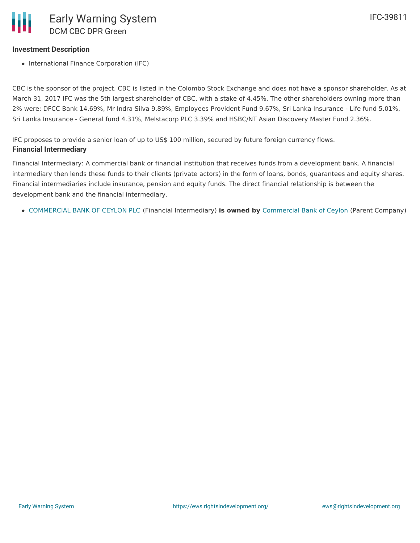# **Investment Description**

• International Finance Corporation (IFC)

CBC is the sponsor of the project. CBC is listed in the Colombo Stock Exchange and does not have a sponsor shareholder. As at March 31, 2017 IFC was the 5th largest shareholder of CBC, with a stake of 4.45%. The other shareholders owning more than 2% were: DFCC Bank 14.69%, Mr Indra Silva 9.89%, Employees Provident Fund 9.67%, Sri Lanka Insurance - Life fund 5.01%, Sri Lanka Insurance - General fund 4.31%, Melstacorp PLC 3.39% and HSBC/NT Asian Discovery Master Fund 2.36%.

IFC proposes to provide a senior loan of up to US\$ 100 million, secured by future foreign currency flows. **Financial Intermediary**

Financial Intermediary: A commercial bank or financial institution that receives funds from a development bank. A financial intermediary then lends these funds to their clients (private actors) in the form of loans, bonds, guarantees and equity shares. Financial intermediaries include insurance, pension and equity funds. The direct financial relationship is between the development bank and the financial intermediary.

[COMMERCIAL](file:///actor/2996/) BANK OF CEYLON PLC (Financial Intermediary) **is owned by** [Commercial](file:///actor/3558/) Bank of Ceylon (Parent Company)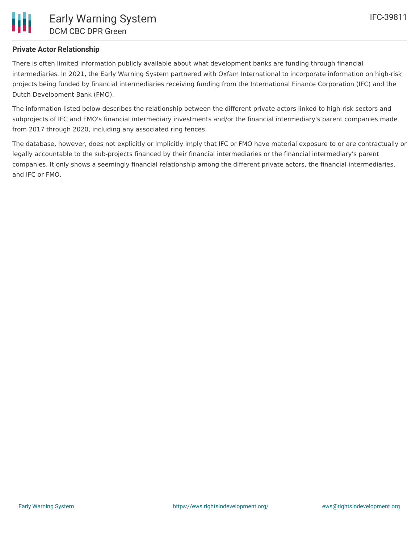### **Private Actor Relationship**

There is often limited information publicly available about what development banks are funding through financial intermediaries. In 2021, the Early Warning System partnered with Oxfam International to incorporate information on high-risk projects being funded by financial intermediaries receiving funding from the International Finance Corporation (IFC) and the Dutch Development Bank (FMO).

The information listed below describes the relationship between the different private actors linked to high-risk sectors and subprojects of IFC and FMO's financial intermediary investments and/or the financial intermediary's parent companies made from 2017 through 2020, including any associated ring fences.

The database, however, does not explicitly or implicitly imply that IFC or FMO have material exposure to or are contractually or legally accountable to the sub-projects financed by their financial intermediaries or the financial intermediary's parent companies. It only shows a seemingly financial relationship among the different private actors, the financial intermediaries, and IFC or FMO.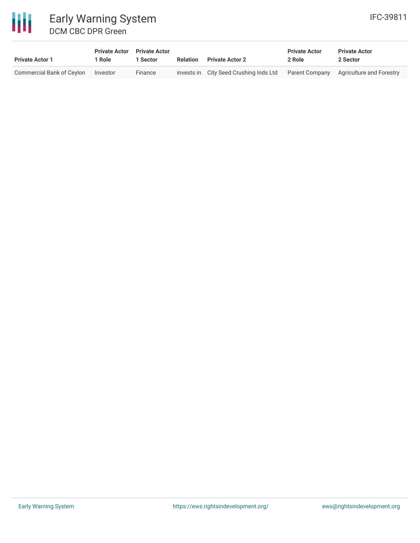

| <b>Private Actor 1</b>    | <b>Private Actor</b> Private Actor<br>1 Role | 1 Sector | Relation | <b>Private Actor 2</b>                 | <b>Private Actor</b><br>2 Role | <b>Private Actor</b><br>2 Sector        |
|---------------------------|----------------------------------------------|----------|----------|----------------------------------------|--------------------------------|-----------------------------------------|
| Commercial Bank of Ceylon | Investor                                     | Finance  |          | invests in City Seed Crushing Inds Ltd |                                | Parent Company Agriculture and Forestry |